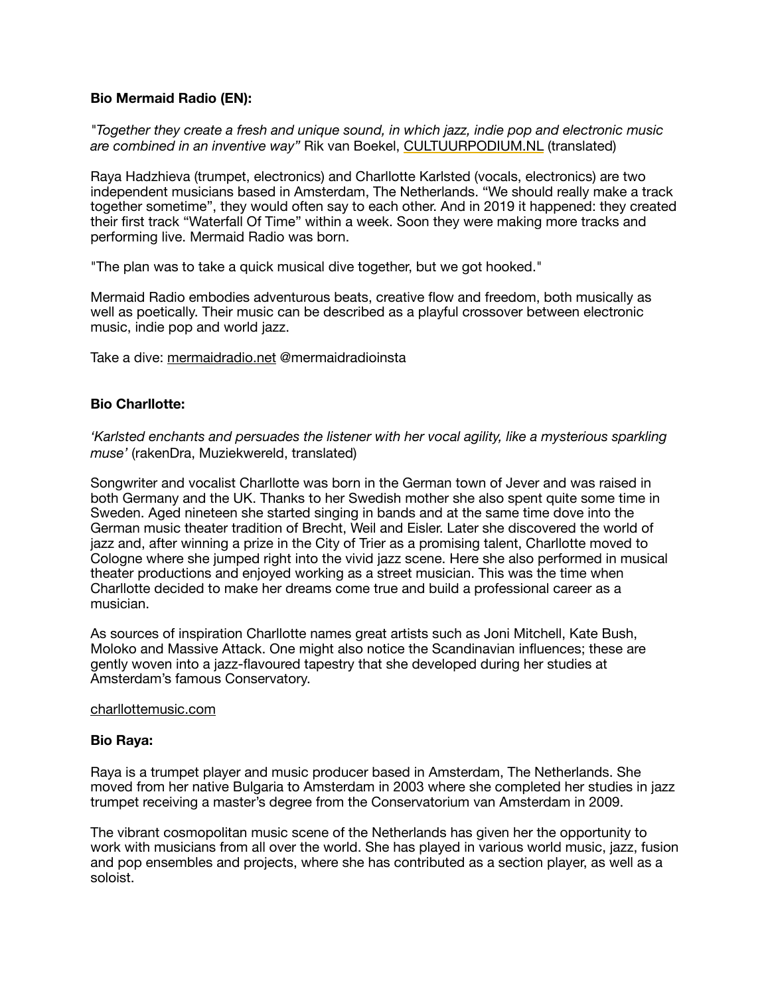## **Bio Mermaid Radio (EN):**

*"Together they create a fresh and unique sound, in which jazz, indie pop and electronic music are combined in an inventive way"* Rik van Boekel, [CULTUURPODIUM.NL](http://cultuurpodium.nl/) (translated)

Raya Hadzhieva (trumpet, electronics) and Charllotte Karlsted (vocals, electronics) are two independent musicians based in Amsterdam, The Netherlands. "We should really make a track together sometime", they would often say to each other. And in 2019 it happened: they created their first track "Waterfall Of Time" within a week. Soon they were making more tracks and performing live. Mermaid Radio was born.

"The plan was to take a quick musical dive together, but we got hooked."

Mermaid Radio embodies adventurous beats, creative flow and freedom, both musically as well as poetically. Their music can be described as a playful crossover between electronic music, indie pop and world jazz.

Take a dive: [mermaidradio.net](http://mermaidradio.net) @mermaidradioinsta

## **Bio Charllotte:**

*'Karlsted enchants and persuades the listener with her vocal agility, like a mysterious sparkling muse'* (rakenDra, Muziekwereld, translated)

Songwriter and vocalist Charllotte was born in the German town of Jever and was raised in both Germany and the UK. Thanks to her Swedish mother she also spent quite some time in Sweden. Aged nineteen she started singing in bands and at the same time dove into the German music theater tradition of Brecht, Weil and Eisler. Later she discovered the world of jazz and, after winning a prize in the City of Trier as a promising talent, Charllotte moved to Cologne where she jumped right into the vivid jazz scene. Here she also performed in musical theater productions and enjoyed working as a street musician. This was the time when Charllotte decided to make her dreams come true and build a professional career as a musician.

As sources of inspiration Charllotte names great artists such as Joni Mitchell, Kate Bush, Moloko and Massive Attack. One might also notice the Scandinavian influences; these are gently woven into a jazz-flavoured tapestry that she developed during her studies at Amsterdam's famous Conservatory.

## charllottemusic.com

## **Bio Raya:**

Raya is a trumpet player and music producer based in Amsterdam, The Netherlands. She moved from her native Bulgaria to Amsterdam in 2003 where she completed her studies in jazz trumpet receiving a master's degree from the Conservatorium van Amsterdam in 2009.

The vibrant cosmopolitan music scene of the Netherlands has given her the opportunity to work with musicians from all over the world. She has played in various world music, jazz, fusion and pop ensembles and projects, where she has contributed as a section player, as well as a soloist.